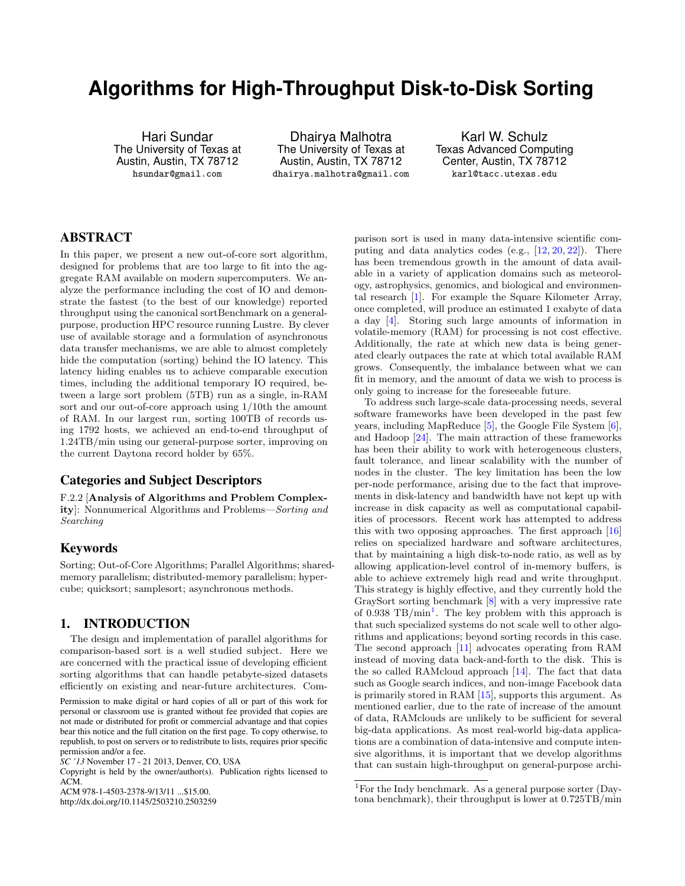# **Algorithms for High-Throughput Disk-to-Disk Sorting**

Hari Sundar The University of Texas at Austin, Austin, TX 78712 hsundar@gmail.com

Dhairya Malhotra The University of Texas at Austin, Austin, TX 78712 dhairya.malhotra@gmail.com

Karl W. Schulz Texas Advanced Computing Center, Austin, TX 78712 karl@tacc.utexas.edu

# ABSTRACT

In this paper, we present a new out-of-core sort algorithm, designed for problems that are too large to fit into the aggregate RAM available on modern supercomputers. We analyze the performance including the cost of IO and demonstrate the fastest (to the best of our knowledge) reported throughput using the canonical sortBenchmark on a generalpurpose, production HPC resource running Lustre. By clever use of available storage and a formulation of asynchronous data transfer mechanisms, we are able to almost completely hide the computation (sorting) behind the IO latency. This latency hiding enables us to achieve comparable execution times, including the additional temporary IO required, between a large sort problem (5TB) run as a single, in-RAM sort and our out-of-core approach using 1/10th the amount of RAM. In our largest run, sorting 100TB of records using 1792 hosts, we achieved an end-to-end throughput of 1.24TB/min using our general-purpose sorter, improving on the current Daytona record holder by 65%.

# Categories and Subject Descriptors

F.2.2 [Analysis of Algorithms and Problem Complexity]: Nonnumerical Algorithms and Problems—Sorting and Searching

# Keywords

Sorting; Out-of-Core Algorithms; Parallel Algorithms; sharedmemory parallelism; distributed-memory parallelism; hypercube; quicksort; samplesort; asynchronous methods.

# 1. INTRODUCTION

The design and implementation of parallel algorithms for comparison-based sort is a well studied subject. Here we are concerned with the practical issue of developing efficient sorting algorithms that can handle petabyte-sized datasets efficiently on existing and near-future architectures. Com-

Permission to make digital or hard copies of all or part of this work for personal or classroom use is granted without fee provided that copies are not made or distributed for profit or commercial advantage and that copies bear this notice and the full citation on the first page. To copy otherwise, to republish, to post on servers or to redistribute to lists, requires prior specific permission and/or a fee.

Copyright is held by the owner/author(s). Publication rights licensed to ACM.

ACM 978-1-4503-2378-9/13/11 ...\$15.00.

http://dx.doi.org/10.1145/2503210.2503259

parison sort is used in many data-intensive scientific computing and data analytics codes  $(e.g., [12, 20, 22])$  $(e.g., [12, 20, 22])$  $(e.g., [12, 20, 22])$  $(e.g., [12, 20, 22])$  $(e.g., [12, 20, 22])$  $(e.g., [12, 20, 22])$  $(e.g., [12, 20, 22])$ . There has been tremendous growth in the amount of data available in a variety of application domains such as meteorology, astrophysics, genomics, and biological and environmental research [\[1\]](#page-8-0). For example the Square Kilometer Array, once completed, will produce an estimated 1 exabyte of data a day [\[4\]](#page-8-1). Storing such large amounts of information in volatile-memory (RAM) for processing is not cost effective. Additionally, the rate at which new data is being generated clearly outpaces the rate at which total available RAM grows. Consequently, the imbalance between what we can fit in memory, and the amount of data we wish to process is only going to increase for the foreseeable future.

To address such large-scale data-processing needs, several software frameworks have been developed in the past few years, including MapReduce [\[5\]](#page-8-2), the Google File System [\[6\]](#page-8-3), and Hadoop [\[24\]](#page-9-3). The main attraction of these frameworks has been their ability to work with heterogeneous clusters, fault tolerance, and linear scalability with the number of nodes in the cluster. The key limitation has been the low per-node performance, arising due to the fact that improvements in disk-latency and bandwidth have not kept up with increase in disk capacity as well as computational capabilities of processors. Recent work has attempted to address this with two opposing approaches. The first approach [\[16\]](#page-9-4) relies on specialized hardware and software architectures, that by maintaining a high disk-to-node ratio, as well as by allowing application-level control of in-memory buffers, is able to achieve extremely high read and write throughput. This strategy is highly effective, and they currently hold the GraySort sorting benchmark [\[8\]](#page-9-5) with a very impressive rate of 0.938 TB/min<sup>[1](#page-0-0)</sup>. The key problem with this approach is that such specialized systems do not scale well to other algorithms and applications; beyond sorting records in this case. The second approach [\[11\]](#page-9-6) advocates operating from RAM instead of moving data back-and-forth to the disk. This is the so called RAMcloud approach [\[14\]](#page-9-7). The fact that data such as Google search indices, and non-image Facebook data is primarily stored in RAM [\[15\]](#page-9-8), supports this argument. As mentioned earlier, due to the rate of increase of the amount of data, RAMclouds are unlikely to be sufficient for several big-data applications. As most real-world big-data applications are a combination of data-intensive and compute intensive algorithms, it is important that we develop algorithms that can sustain high-throughput on general-purpose archi-

*SC '13* November 17 - 21 2013, Denver, CO, USA

<span id="page-0-0"></span><sup>&</sup>lt;sup>1</sup>For the Indy benchmark. As a general purpose sorter (Daytona benchmark), their throughput is lower at 0.725TB/min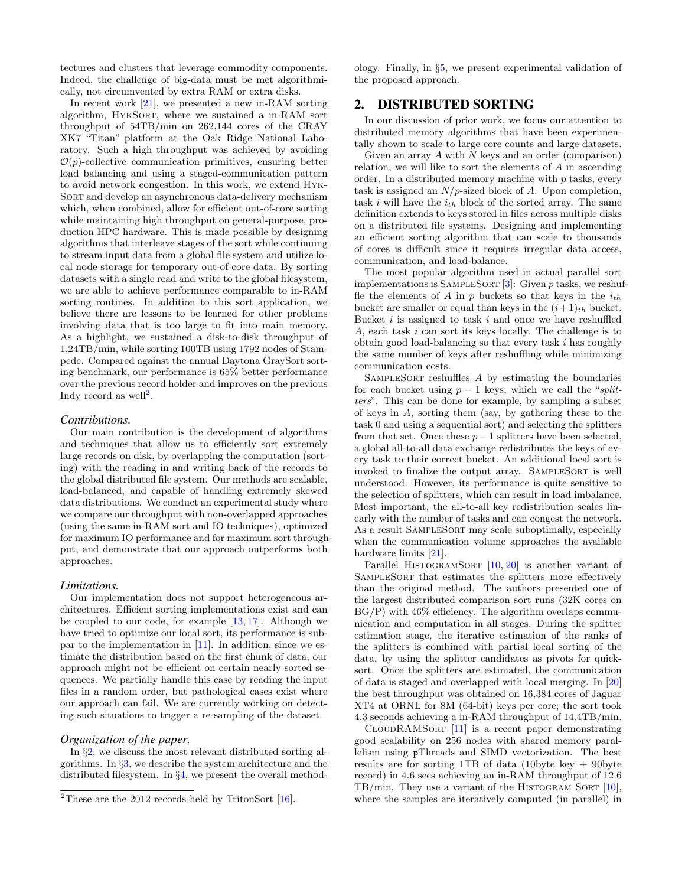tectures and clusters that leverage commodity components. Indeed, the challenge of big-data must be met algorithmically, not circumvented by extra RAM or extra disks.

In recent work [\[21\]](#page-9-9), we presented a new in-RAM sorting algorithm, HykSort, where we sustained a in-RAM sort throughput of 54TB/min on 262,144 cores of the CRAY XK7 "Titan" platform at the Oak Ridge National Laboratory. Such a high throughput was achieved by avoiding  $\mathcal{O}(p)$ -collective communication primitives, ensuring better load balancing and using a staged-communication pattern to avoid network congestion. In this work, we extend Hyk-Sort and develop an asynchronous data-delivery mechanism which, when combined, allow for efficient out-of-core sorting while maintaining high throughput on general-purpose, production HPC hardware. This is made possible by designing algorithms that interleave stages of the sort while continuing to stream input data from a global file system and utilize local node storage for temporary out-of-core data. By sorting datasets with a single read and write to the global filesystem, we are able to achieve performance comparable to in-RAM sorting routines. In addition to this sort application, we believe there are lessons to be learned for other problems involving data that is too large to fit into main memory. As a highlight, we sustained a disk-to-disk throughput of 1.24TB/min, while sorting 100TB using 1792 nodes of Stampede. Compared against the annual Daytona GraySort sorting benchmark, our performance is 65% better performance over the previous record holder and improves on the previous Indy record as well<sup>[2](#page-1-0)</sup>.

#### *Contributions.*

Our main contribution is the development of algorithms and techniques that allow us to efficiently sort extremely large records on disk, by overlapping the computation (sorting) with the reading in and writing back of the records to the global distributed file system. Our methods are scalable, load-balanced, and capable of handling extremely skewed data distributions. We conduct an experimental study where we compare our throughput with non-overlapped approaches (using the same in-RAM sort and IO techniques), optimized for maximum IO performance and for maximum sort throughput, and demonstrate that our approach outperforms both approaches.

#### *Limitations.*

Our implementation does not support heterogeneous architectures. Efficient sorting implementations exist and can be coupled to our code, for example [\[13,](#page-9-10) [17\]](#page-9-11). Although we have tried to optimize our local sort, its performance is subpar to the implementation in [\[11\]](#page-9-6). In addition, since we estimate the distribution based on the first chunk of data, our approach might not be efficient on certain nearly sorted sequences. We partially handle this case by reading the input files in a random order, but pathological cases exist where our approach can fail. We are currently working on detecting such situations to trigger a re-sampling of the dataset.

#### *Organization of the paper.*

In §[2,](#page-1-1) we discuss the most relevant distributed sorting algorithms. In §[3,](#page-2-0) we describe the system architecture and the distributed filesystem. In §[4,](#page-3-0) we present the overall methodology. Finally, in §[5,](#page-6-0) we present experimental validation of the proposed approach.

# <span id="page-1-1"></span>2. DISTRIBUTED SORTING

In our discussion of prior work, we focus our attention to distributed memory algorithms that have been experimentally shown to scale to large core counts and large datasets.

Given an array  $A$  with  $N$  keys and an order (comparison) relation, we will like to sort the elements of A in ascending order. In a distributed memory machine with  $p$  tasks, every task is assigned an  $N/p$ -sized block of A. Upon completion, task i will have the  $i_{th}$  block of the sorted array. The same definition extends to keys stored in files across multiple disks on a distributed file systems. Designing and implementing an efficient sorting algorithm that can scale to thousands of cores is difficult since it requires irregular data access, communication, and load-balance.

The most popular algorithm used in actual parallel sort implementations is SAMPLESORT  $[3]$ : Given p tasks, we reshuffle the elements of A in  $p$  buckets so that keys in the  $i_{th}$ bucket are smaller or equal than keys in the  $(i+1)<sub>th</sub>$  bucket. Bucket  $i$  is assigned to task  $i$  and once we have reshuffled A, each task i can sort its keys locally. The challenge is to obtain good load-balancing so that every task i has roughly the same number of keys after reshuffling while minimizing communication costs.

SampleSort reshuffles A by estimating the boundaries for each bucket using  $p - 1$  keys, which we call the "splitters". This can be done for example, by sampling a subset of keys in A, sorting them (say, by gathering these to the task 0 and using a sequential sort) and selecting the splitters from that set. Once these  $p-1$  splitters have been selected, a global all-to-all data exchange redistributes the keys of every task to their correct bucket. An additional local sort is invoked to finalize the output array. SAMPLESORT is well understood. However, its performance is quite sensitive to the selection of splitters, which can result in load imbalance. Most important, the all-to-all key redistribution scales linearly with the number of tasks and can congest the network. As a result SampleSort may scale suboptimally, especially when the communication volume approaches the available hardware limits [\[21\]](#page-9-9).

Parallel HISTOGRAMSORT [\[10,](#page-9-12) [20\]](#page-9-1) is another variant of SampleSort that estimates the splitters more effectively than the original method. The authors presented one of the largest distributed comparison sort runs (32K cores on  $BG/P$ ) with  $46\%$  efficiency. The algorithm overlaps communication and computation in all stages. During the splitter estimation stage, the iterative estimation of the ranks of the splitters is combined with partial local sorting of the data, by using the splitter candidates as pivots for quicksort. Once the splitters are estimated, the communication of data is staged and overlapped with local merging. In [\[20\]](#page-9-1) the best throughput was obtained on 16,384 cores of Jaguar XT4 at ORNL for 8M (64-bit) keys per core; the sort took 4.3 seconds achieving a in-RAM throughput of 14.4TB/min.

 $C_{\text{LOUDRAMSORT}}$  [\[11\]](#page-9-6) is a recent paper demonstrating good scalability on 256 nodes with shared memory parallelism using pThreads and SIMD vectorization. The best results are for sorting 1TB of data (10byte key  $+$  90byte record) in 4.6 secs achieving an in-RAM throughput of 12.6 TB/min. They use a variant of the HISTOGRAM SORT  $[10]$ , where the samples are iteratively computed (in parallel) in

<span id="page-1-0"></span><sup>&</sup>lt;sup>2</sup>These are the 2012 records held by TritonSort  $[16]$ .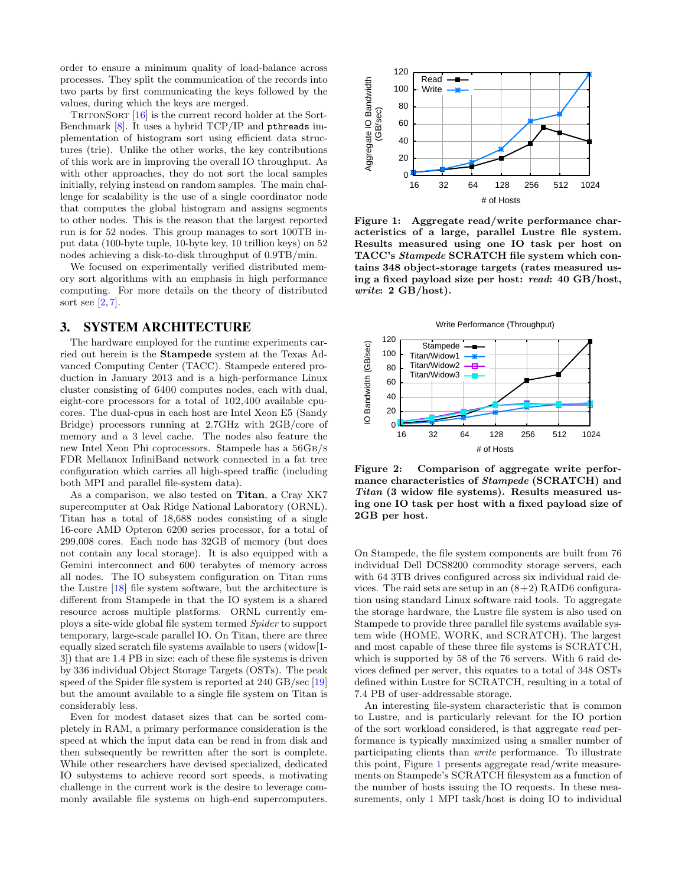order to ensure a minimum quality of load-balance across processes. They split the communication of the records into two parts by first communicating the keys followed by the values, during which the keys are merged.

TRITONSORT  $[16]$  is the current record holder at the Sort-Benchmark [\[8\]](#page-9-5). It uses a hybrid TCP/IP and pthreads implementation of histogram sort using efficient data structures (trie). Unlike the other works, the key contributions of this work are in improving the overall IO throughput. As with other approaches, they do not sort the local samples initially, relying instead on random samples. The main challenge for scalability is the use of a single coordinator node that computes the global histogram and assigns segments to other nodes. This is the reason that the largest reported run is for 52 nodes. This group manages to sort 100TB input data (100-byte tuple, 10-byte key, 10 trillion keys) on 52 nodes achieving a disk-to-disk throughput of 0.9TB/min.

We focused on experimentally verified distributed memory sort algorithms with an emphasis in high performance computing. For more details on the theory of distributed sort see  $[2, 7]$  $[2, 7]$  $[2, 7]$ .

## <span id="page-2-0"></span>3. SYSTEM ARCHITECTURE

The hardware employed for the runtime experiments carried out herein is the Stampede system at the Texas Advanced Computing Center (TACC). Stampede entered production in January 2013 and is a high-performance Linux cluster consisting of 6400 computes nodes, each with dual, eight-core processors for a total of 102,400 available cpucores. The dual-cpus in each host are Intel Xeon E5 (Sandy Bridge) processors running at 2.7GHz with 2GB/core of memory and a 3 level cache. The nodes also feature the new Intel Xeon Phi coprocessors. Stampede has a 56Gb/s FDR Mellanox InfiniBand network connected in a fat tree configuration which carries all high-speed traffic (including both MPI and parallel file-system data).

As a comparison, we also tested on Titan, a Cray XK7 supercomputer at Oak Ridge National Laboratory (ORNL). Titan has a total of 18,688 nodes consisting of a single 16-core AMD Opteron 6200 series processor, for a total of 299,008 cores. Each node has 32GB of memory (but does not contain any local storage). It is also equipped with a Gemini interconnect and 600 terabytes of memory across all nodes. The IO subsystem configuration on Titan runs the Lustre [\[18\]](#page-9-13) file system software, but the architecture is different from Stampede in that the IO system is a shared resource across multiple platforms. ORNL currently employs a site-wide global file system termed Spider to support temporary, large-scale parallel IO. On Titan, there are three equally sized scratch file systems available to users (widow[1- 3]) that are 1.4 PB in size; each of these file systems is driven by 336 individual Object Storage Targets (OSTs). The peak speed of the Spider file system is reported at 240 GB/sec [\[19\]](#page-9-14) but the amount available to a single file system on Titan is considerably less.

Even for modest dataset sizes that can be sorted completely in RAM, a primary performance consideration is the speed at which the input data can be read in from disk and then subsequently be rewritten after the sort is complete. While other researchers have devised specialized, dedicated IO subystems to achieve record sort speeds, a motivating challenge in the current work is the desire to leverage commonly available file systems on high-end supercomputers.



<span id="page-2-1"></span>Figure 1: Aggregate read/write performance characteristics of a large, parallel Lustre file system. Results measured using one IO task per host on TACC's Stampede SCRATCH file system which contains 348 object-storage targets (rates measured using a fixed payload size per host: read: 40 GB/host, write: 2 GB/host).





<span id="page-2-2"></span>Figure 2: Comparison of aggregate write performance characteristics of Stampede (SCRATCH) and Titan (3 widow file systems). Results measured using one IO task per host with a fixed payload size of 2GB per host.

On Stampede, the file system components are built from 76 individual Dell DCS8200 commodity storage servers, each with 64 3TB drives configured across six individual raid devices. The raid sets are setup in an  $(8+2)$  RAID6 configuration using standard Linux software raid tools. To aggregate the storage hardware, the Lustre file system is also used on Stampede to provide three parallel file systems available system wide (HOME, WORK, and SCRATCH). The largest and most capable of these three file systems is SCRATCH, which is supported by 58 of the 76 servers. With 6 raid devices defined per server, this equates to a total of 348 OSTs defined within Lustre for SCRATCH, resulting in a total of 7.4 PB of user-addressable storage.

An interesting file-system characteristic that is common to Lustre, and is particularly relevant for the IO portion of the sort workload considered, is that aggregate read performance is typically maximized using a smaller number of participating clients than write performance. To illustrate this point, Figure [1](#page-2-1) presents aggregate read/write measurements on Stampede's SCRATCH filesystem as a function of the number of hosts issuing the IO requests. In these measurements, only 1 MPI task/host is doing IO to individual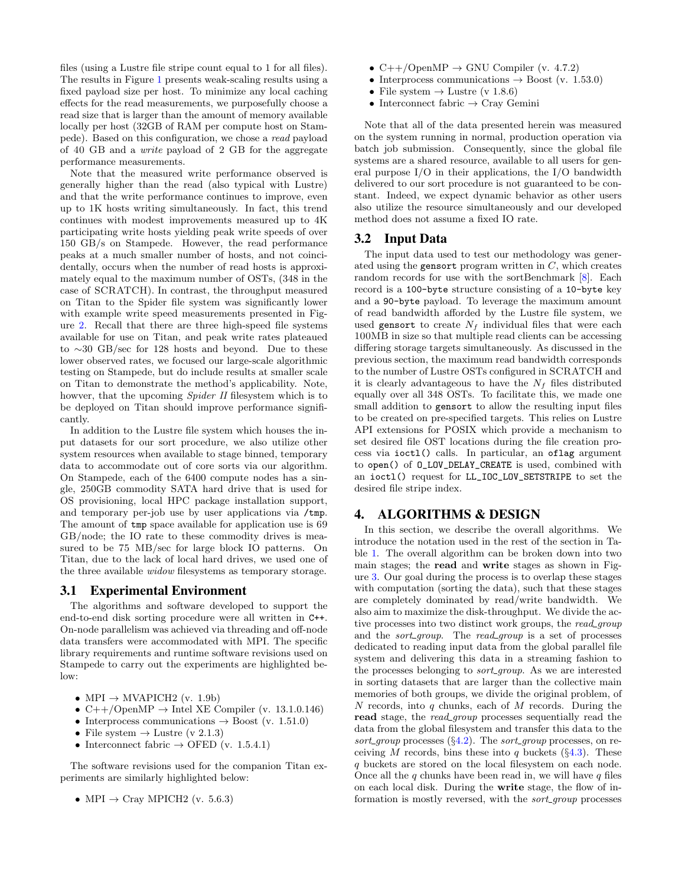files (using a Lustre file stripe count equal to 1 for all files). The results in Figure [1](#page-2-1) presents weak-scaling results using a fixed payload size per host. To minimize any local caching effects for the read measurements, we purposefully choose a read size that is larger than the amount of memory available locally per host (32GB of RAM per compute host on Stampede). Based on this configuration, we chose a read payload of 40 GB and a write payload of 2 GB for the aggregate performance measurements.

Note that the measured write performance observed is generally higher than the read (also typical with Lustre) and that the write performance continues to improve, even up to 1K hosts writing simultaneously. In fact, this trend continues with modest improvements measured up to 4K participating write hosts yielding peak write speeds of over 150 GB/s on Stampede. However, the read performance peaks at a much smaller number of hosts, and not coincidentally, occurs when the number of read hosts is approximately equal to the maximum number of OSTs, (348 in the case of SCRATCH). In contrast, the throughput measured on Titan to the Spider file system was significantly lower with example write speed measurements presented in Figure [2.](#page-2-2) Recall that there are three high-speed file systems available for use on Titan, and peak write rates plateaued to ∼30 GB/sec for 128 hosts and beyond. Due to these lower observed rates, we focused our large-scale algorithmic testing on Stampede, but do include results at smaller scale on Titan to demonstrate the method's applicability. Note, howver, that the upcoming *Spider II* filesystem which is to be deployed on Titan should improve performance significantly.

In addition to the Lustre file system which houses the input datasets for our sort procedure, we also utilize other system resources when available to stage binned, temporary data to accommodate out of core sorts via our algorithm. On Stampede, each of the 6400 compute nodes has a single, 250GB commodity SATA hard drive that is used for OS provisioning, local HPC package installation support, and temporary per-job use by user applications via /tmp. The amount of tmp space available for application use is 69 GB/node; the IO rate to these commodity drives is measured to be 75 MB/sec for large block IO patterns. On Titan, due to the lack of local hard drives, we used one of the three available widow filesystems as temporary storage.

# 3.1 Experimental Environment

The algorithms and software developed to support the end-to-end disk sorting procedure were all written in C++. On-node parallelism was achieved via threading and off-node data transfers were accommodated with MPI. The specific library requirements and runtime software revisions used on Stampede to carry out the experiments are highlighted below:

- MPI  $\rightarrow$  MVAPICH2 (v. 1.9b)
- C++/OpenMP  $\rightarrow$  Intel XE Compiler (v. 13.1.0.146)
- Interprocess communications  $\rightarrow$  Boost (v. 1.51.0)
- File system  $\rightarrow$  Lustre (v 2.1.3)
- Interconnect fabric  $\rightarrow$  OFED (v. 1.5.4.1)

The software revisions used for the companion Titan experiments are similarly highlighted below:

• MPI  $\rightarrow$  Cray MPICH2 (v. 5.6.3)

- $C++/OpenMP \rightarrow GNU$  Compiler (v. 4.7.2)
- Interprocess communications  $\rightarrow$  Boost (v. 1.53.0)
- File system  $\rightarrow$  Lustre (v 1.8.6)
- Interconnect fabric  $\rightarrow$  Cray Gemini

Note that all of the data presented herein was measured on the system running in normal, production operation via batch job submission. Consequently, since the global file systems are a shared resource, available to all users for general purpose I/O in their applications, the I/O bandwidth delivered to our sort procedure is not guaranteed to be constant. Indeed, we expect dynamic behavior as other users also utilize the resource simultaneously and our developed method does not assume a fixed IO rate.

## 3.2 Input Data

The input data used to test our methodology was generated using the gensort program written in  $C$ , which creates random records for use with the sortBenchmark [\[8\]](#page-9-5). Each record is a 100-byte structure consisting of a 10-byte key and a 90-byte payload. To leverage the maximum amount of read bandwidth afforded by the Lustre file system, we used gensort to create  $N_f$  individual files that were each 100MB in size so that multiple read clients can be accessing differing storage targets simultaneously. As discussed in the previous section, the maximum read bandwidth corresponds to the number of Lustre OSTs configured in SCRATCH and it is clearly advantageous to have the  $N_f$  files distributed equally over all 348 OSTs. To facilitate this, we made one small addition to gensort to allow the resulting input files to be created on pre-specified targets. This relies on Lustre API extensions for POSIX which provide a mechanism to set desired file OST locations during the file creation process via ioctl() calls. In particular, an oflag argument to open() of O\_LOV\_DELAY\_CREATE is used, combined with an ioctl() request for LL\_IOC\_LOV\_SETSTRIPE to set the desired file stripe index.

## <span id="page-3-0"></span>4. ALGORITHMS & DESIGN

In this section, we describe the overall algorithms. We introduce the notation used in the rest of the section in Table [1.](#page-4-0) The overall algorithm can be broken down into two main stages; the read and write stages as shown in Figure [3.](#page-4-1) Our goal during the process is to overlap these stages with computation (sorting the data), such that these stages are completely dominated by read/write bandwidth. We also aim to maximize the disk-throughput. We divide the active processes into two distinct work groups, the read\_group and the *sort\_group*. The *read\_group* is a set of processes dedicated to reading input data from the global parallel file system and delivering this data in a streaming fashion to the processes belonging to *sort\_group*. As we are interested in sorting datasets that are larger than the collective main memories of both groups, we divide the original problem, of N records, into q chunks, each of  $M$  records. During the read stage, the *read group* processes sequentially read the data from the global filesystem and transfer this data to the sort\_group processes  $(\S4.2)$  $(\S4.2)$ . The sort\_group processes, on receiving M records, bins these into q buckets  $(\S 4.3)$  $(\S 4.3)$ . These q buckets are stored on the local filesystem on each node. Once all the  $q$  chunks have been read in, we will have  $q$  files on each local disk. During the write stage, the flow of information is mostly reversed, with the *sort\_group* processes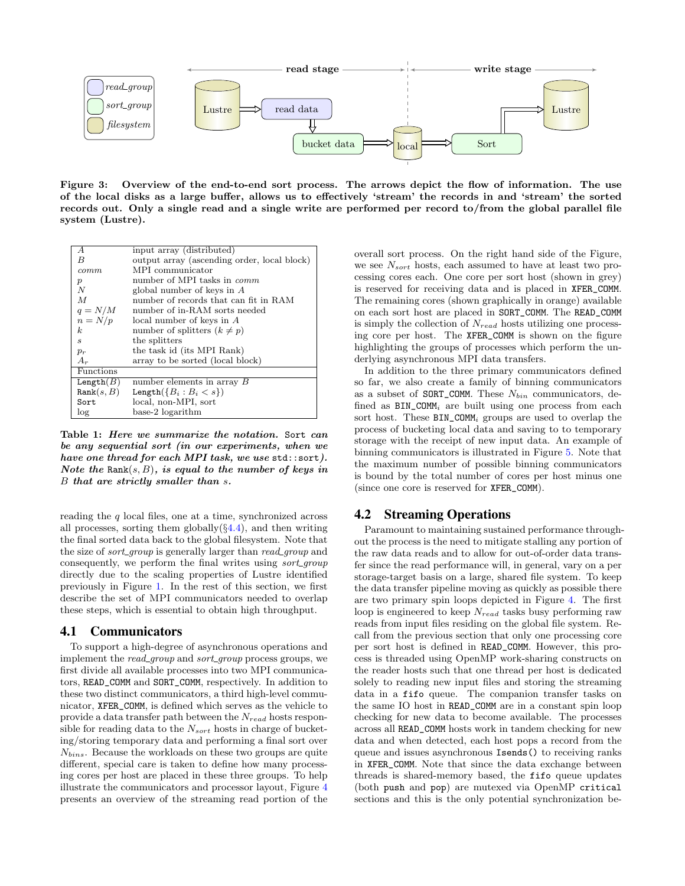

<span id="page-4-1"></span>Figure 3: Overview of the end-to-end sort process. The arrows depict the flow of information. The use of the local disks as a large buffer, allows us to effectively 'stream' the records in and 'stream' the sorted records out. Only a single read and a single write are performed per record to/from the global parallel file system (Lustre).

| А                | input array (distributed)                   |
|------------------|---------------------------------------------|
| B                | output array (ascending order, local block) |
| commm            | MPI communicator                            |
| $\boldsymbol{p}$ | number of MPI tasks in <i>comm</i>          |
| N                | global number of keys in $A$                |
| $\overline{M}$   | number of records that can fit in RAM       |
| $q = N/M$        | number of in-RAM sorts needed               |
| $n = N/p$        | local number of keys in $A$                 |
| k.               | number of splitters $(k \neq p)$            |
| $\boldsymbol{s}$ | the splitters                               |
| $p_r$            | the task id (its MPI Rank)                  |
| $A_r$            | array to be sorted (local block)            |
| Functions        |                                             |
| Length(B)        | number elements in array $B$                |
| Rank(s, B)       | Length $({B_i : B_i < s})$                  |
| Sort             | local, non-MPI, sort                        |
| log              | base-2 logarithm                            |

<span id="page-4-0"></span>Table 1: Here we summarize the notation. Sort can be any sequential sort (in our experiments, when we have one thread for each MPI task, we use std::sort). Note the Rank $(s, B)$ , is equal to the number of keys in B that are strictly smaller than s.

reading the  $q$  local files, one at a time, synchronized across all processes, sorting them globally $(\S4.4)$  $(\S4.4)$ , and then writing the final sorted data back to the global filesystem. Note that the size of *sort\_group* is generally larger than *read\_group* and consequently, we perform the final writes using sort\_group directly due to the scaling properties of Lustre identified previously in Figure [1.](#page-2-1) In the rest of this section, we first describe the set of MPI communicators needed to overlap these steps, which is essential to obtain high throughput.

#### 4.1 Communicators

To support a high-degree of asynchronous operations and implement the *read\_group* and *sort\_group* process groups, we first divide all available processes into two MPI communicators, READ\_COMM and SORT\_COMM, respectively. In addition to these two distinct communicators, a third high-level communicator, XFER\_COMM, is defined which serves as the vehicle to provide a data transfer path between the  $N_{read}$  hosts responsible for reading data to the  $N_{sort}$  hosts in charge of bucketing/storing temporary data and performing a final sort over  $N_{bins}$ . Because the workloads on these two groups are quite different, special care is taken to define how many processing cores per host are placed in these three groups. To help illustrate the communicators and processor layout, Figure [4](#page-5-1) presents an overview of the streaming read portion of the

overall sort process. On the right hand side of the Figure, we see  $N_{sort}$  hosts, each assumed to have at least two processing cores each. One core per sort host (shown in grey) is reserved for receiving data and is placed in XFER\_COMM. The remaining cores (shown graphically in orange) available on each sort host are placed in SORT\_COMM. The READ\_COMM is simply the collection of  $N_{read}$  hosts utilizing one processing core per host. The XFER\_COMM is shown on the figure highlighting the groups of processes which perform the underlying asynchronous MPI data transfers.

In addition to the three primary communicators defined so far, we also create a family of binning communicators as a subset of SORT\_COMM. These  $N_{bin}$  communicators, defined as  $BIN\_COMM_i$  are built using one process from each sort host. These  $BIN\_COMM_i$  groups are used to overlap the process of bucketing local data and saving to to temporary storage with the receipt of new input data. An example of binning communicators is illustrated in Figure [5.](#page-6-2) Note that the maximum number of possible binning communicators is bound by the total number of cores per host minus one (since one core is reserved for XFER\_COMM).

## <span id="page-4-2"></span>4.2 Streaming Operations

Paramount to maintaining sustained performance throughout the process is the need to mitigate stalling any portion of the raw data reads and to allow for out-of-order data transfer since the read performance will, in general, vary on a per storage-target basis on a large, shared file system. To keep the data transfer pipeline moving as quickly as possible there are two primary spin loops depicted in Figure [4.](#page-5-1) The first loop is engineered to keep  $N_{read}$  tasks busy performing raw reads from input files residing on the global file system. Recall from the previous section that only one processing core per sort host is defined in READ\_COMM. However, this process is threaded using OpenMP work-sharing constructs on the reader hosts such that one thread per host is dedicated solely to reading new input files and storing the streaming data in a fifo queue. The companion transfer tasks on the same IO host in READ\_COMM are in a constant spin loop checking for new data to become available. The processes across all READ\_COMM hosts work in tandem checking for new data and when detected, each host pops a record from the queue and issues asynchronous Isends() to receiving ranks in XFER\_COMM. Note that since the data exchange between threads is shared-memory based, the fifo queue updates (both push and pop) are mutexed via OpenMP critical sections and this is the only potential synchronization be-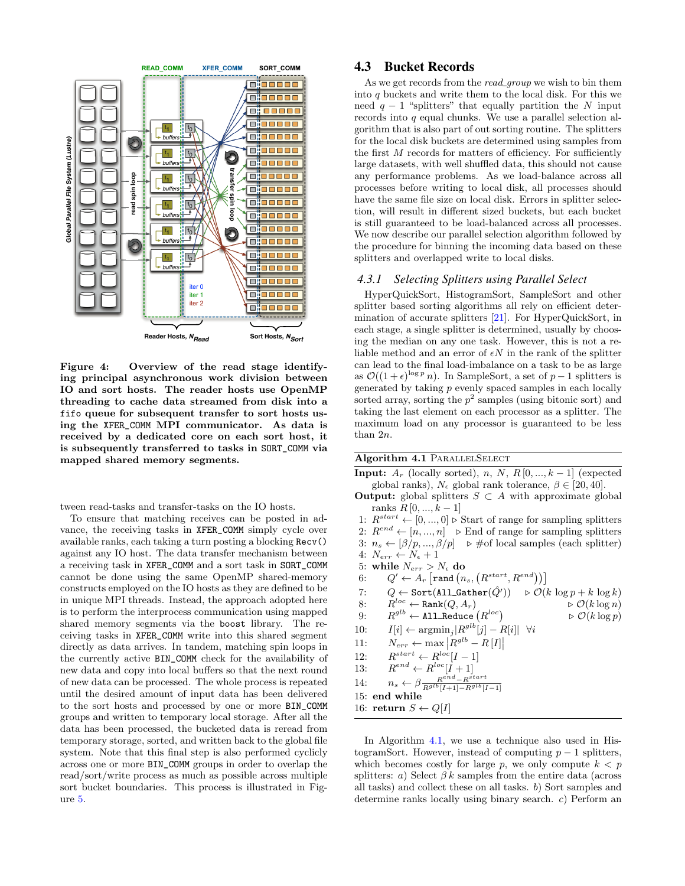

<span id="page-5-1"></span>Figure 4: Overview of the read stage identifying principal asynchronous work division between IO and sort hosts. The reader hosts use OpenMP threading to cache data streamed from disk into a fifo queue for subsequent transfer to sort hosts using the XFER\_COMM MPI communicator. As data is received by a dedicated core on each sort host, it is subsequently transferred to tasks in SORT\_COMM via mapped shared memory segments.

tween read-tasks and transfer-tasks on the IO hosts.

To ensure that matching receives can be posted in advance, the receiving tasks in XFER\_COMM simply cycle over available ranks, each taking a turn posting a blocking Recv() against any IO host. The data transfer mechanism between a receiving task in XFER\_COMM and a sort task in SORT\_COMM cannot be done using the same OpenMP shared-memory constructs employed on the IO hosts as they are defined to be in unique MPI threads. Instead, the approach adopted here is to perform the interprocess communication using mapped shared memory segments via the boost library. The receiving tasks in XFER\_COMM write into this shared segment directly as data arrives. In tandem, matching spin loops in the currently active BIN\_COMM check for the availability of new data and copy into local buffers so that the next round of new data can be processed. The whole process is repeated until the desired amount of input data has been delivered to the sort hosts and processed by one or more BIN\_COMM groups and written to temporary local storage. After all the data has been processed, the bucketed data is reread from temporary storage, sorted, and written back to the global file system. Note that this final step is also performed cyclicly across one or more BIN\_COMM groups in order to overlap the read/sort/write process as much as possible across multiple sort bucket boundaries. This process is illustrated in Figure [5.](#page-6-2)

## <span id="page-5-0"></span>4.3 Bucket Records

As we get records from the read\_group we wish to bin them into q buckets and write them to the local disk. For this we need  $q - 1$  "splitters" that equally partition the N input records into  $q$  equal chunks. We use a parallel selection algorithm that is also part of out sorting routine. The splitters for the local disk buckets are determined using samples from the first  $M$  records for matters of efficiency. For sufficiently large datasets, with well shuffled data, this should not cause any performance problems. As we load-balance across all processes before writing to local disk, all processes should have the same file size on local disk. Errors in splitter selection, will result in different sized buckets, but each bucket is still guaranteed to be load-balanced across all processes. We now describe our parallel selection algorithm followed by the procedure for binning the incoming data based on these splitters and overlapped write to local disks.

#### *4.3.1 Selecting Splitters using Parallel Select*

HyperQuickSort, HistogramSort, SampleSort and other splitter based sorting algorithms all rely on efficient determination of accurate splitters [\[21\]](#page-9-9). For HyperQuickSort, in each stage, a single splitter is determined, usually by choosing the median on any one task. However, this is not a reliable method and an error of  $\epsilon N$  in the rank of the splitter can lead to the final load-imbalance on a task to be as large as  $\mathcal{O}((1+\epsilon)^{\log p} n)$ . In SampleSort, a set of  $p-1$  splitters is generated by taking  $p$  evenly spaced samples in each locally sorted array, sorting the  $p^2$  samples (using bitonic sort) and taking the last element on each processor as a splitter. The maximum load on any processor is guaranteed to be less than 2n.

<span id="page-5-2"></span>Algorithm 4.1 PARALLELSELECT

**Input:**  $A_r$  (locally sorted), n, N, R[0, ..., k – 1] (expected global ranks),  $N_{\epsilon}$  global rank tolerance,  $\beta \in [20, 40]$ .

- **Output:** global splitters  $S \subset A$  with approximate global ranks  $R$  [0, ...,  $k-1$ ]
- 1:  $R^{start} \leftarrow [0, ..., 0] \triangleright$  Start of range for sampling splitters 2:  $R^{end} \leftarrow [n, ..., n]$   $\triangleright$  End of range for sampling splitters
- 3:  $n_s \leftarrow [\beta/p, ..., \beta/p] \Rightarrow \text{\#of local samples (each splitter)}$
- 4:  $N_{err} \leftarrow N_{\epsilon} + 1$
- 5: while  $N_{err} > N_{\epsilon}$  do
- 6:  $Q' \leftarrow A_r \left[ \text{rand}\left( n_s, \left( R^{start}, R^{end} \right) \right) \right]$
- 7:  $Q \leftarrow \text{Sort}(\texttt{All\_Gather}(\hat{Q'})) \Rightarrow \mathcal{O}(k \log p + k \log k)$
- 8:  $R^{loc} \leftarrow \text{Rank}(Q, A_r)$   $\triangleright \mathcal{O}(k \log n)$  $\triangleright \mathcal{O}(k \log p)$
- $9\colon\qquad R^{glb}\leftarrow \texttt{All\_Reduce}\left(R^{loc}\right)$
- 10:  $I[i] \leftarrow \operatorname{argmin}_j |R^{glb}[j] R[i]| \quad \forall i$
- 11:  $N_{err} \leftarrow \max \left| R^{glb} R[I] \right|$
- $12:$  $s^{start} \leftarrow R^{loc}[I-1]$
- 13:  $e^{nd} \leftarrow R^{loc}[I+1]$
- 14:  $n_s \leftarrow \beta \frac{R^{end} R^{start}}{R^{glb}[I+1] R^{glb}[I-1]}$
- 15: end while

16: return  $S \leftarrow Q[I]$ 

In Algorithm [4.1,](#page-5-2) we use a technique also used in HistogramSort. However, instead of computing  $p-1$  splitters, which becomes costly for large p, we only compute  $k < p$ splitters: a) Select  $\beta k$  samples from the entire data (across all tasks) and collect these on all tasks. b) Sort samples and determine ranks locally using binary search. c) Perform an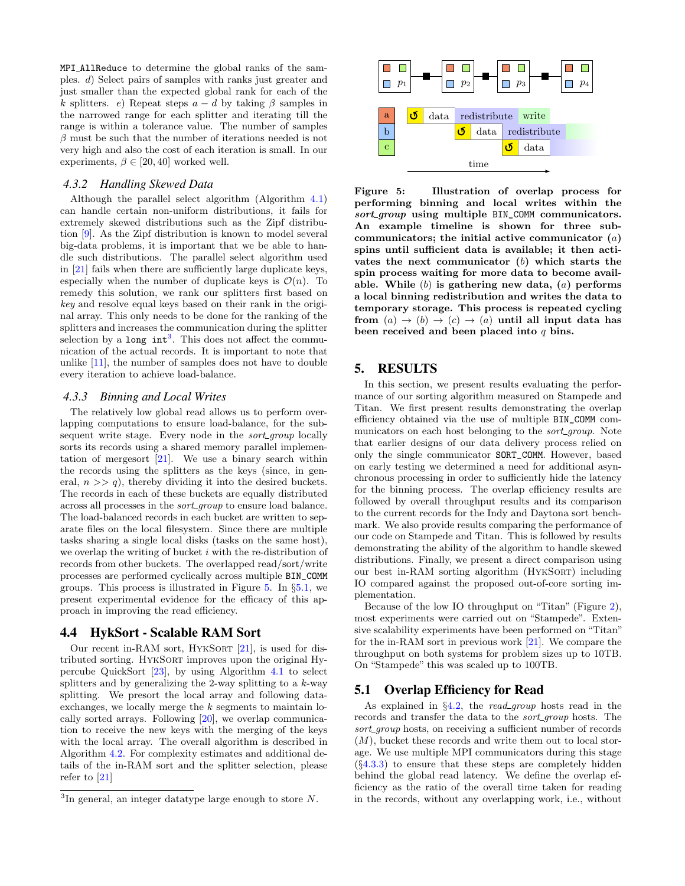MPI\_AllReduce to determine the global ranks of the samples. d) Select pairs of samples with ranks just greater and just smaller than the expected global rank for each of the k splitters. e) Repeat steps  $a - d$  by taking  $\beta$  samples in the narrowed range for each splitter and iterating till the range is within a tolerance value. The number of samples  $\beta$  must be such that the number of iterations needed is not very high and also the cost of each iteration is small. In our experiments,  $\beta \in [20, 40]$  worked well.

#### *4.3.2 Handling Skewed Data*

Although the parallel select algorithm (Algorithm [4.1\)](#page-5-2) can handle certain non-uniform distributions, it fails for extremely skewed distributions such as the Zipf distribution [\[9\]](#page-9-15). As the Zipf distribution is known to model several big-data problems, it is important that we be able to handle such distributions. The parallel select algorithm used in [\[21\]](#page-9-9) fails when there are sufficiently large duplicate keys, especially when the number of duplicate keys is  $\mathcal{O}(n)$ . To remedy this solution, we rank our splitters first based on key and resolve equal keys based on their rank in the original array. This only needs to be done for the ranking of the splitters and increases the communication during the splitter selection by a long  $int<sup>3</sup>$  $int<sup>3</sup>$  $int<sup>3</sup>$ . This does not affect the communication of the actual records. It is important to note that unlike [\[11\]](#page-9-6), the number of samples does not have to double every iteration to achieve load-balance.

#### <span id="page-6-5"></span>*4.3.3 Binning and Local Writes*

The relatively low global read allows us to perform overlapping computations to ensure load-balance, for the subsequent write stage. Every node in the *sort\_group* locally sorts its records using a shared memory parallel implementation of mergesort [\[21\]](#page-9-9). We use a binary search within the records using the splitters as the keys (since, in general,  $n \gg q$ , thereby dividing it into the desired buckets. The records in each of these buckets are equally distributed across all processes in the *sort\_group* to ensure load balance. The load-balanced records in each bucket are written to separate files on the local filesystem. Since there are multiple tasks sharing a single local disks (tasks on the same host), we overlap the writing of bucket  $i$  with the re-distribution of records from other buckets. The overlapped read/sort/write processes are performed cyclically across multiple BIN\_COMM groups. This process is illustrated in Figure [5.](#page-6-2) In §[5.1,](#page-6-4) we present experimental evidence for the efficacy of this approach in improving the read efficiency.

## <span id="page-6-1"></span>4.4 HykSort - Scalable RAM Sort

Our recent in-RAM sort, HYKSORT [\[21\]](#page-9-9), is used for distributed sorting. HykSort improves upon the original Hypercube QuickSort [\[23\]](#page-9-16), by using Algorithm [4.1](#page-5-2) to select splitters and by generalizing the 2-way splitting to a  $k$ -way splitting. We presort the local array and following dataexchanges, we locally merge the  $k$  segments to maintain locally sorted arrays. Following [\[20\]](#page-9-1), we overlap communication to receive the new keys with the merging of the keys with the local array. The overall algorithm is described in Algorithm [4.2.](#page-7-0) For complexity estimates and additional details of the in-RAM sort and the splitter selection, please refer to [\[21\]](#page-9-9)



<span id="page-6-2"></span>Figure 5: Illustration of overlap process for performing binning and local writes within the sort\_group using multiple BIN\_COMM communicators. An example timeline is shown for three subcommunicators; the initial active communicator  $(a)$ spins until sufficient data is available; it then activates the next communicator  $(b)$  which starts the spin process waiting for more data to become available. While  $(b)$  is gathering new data,  $(a)$  performs a local binning redistribution and writes the data to temporary storage. This process is repeated cycling from  $(a) \rightarrow (b) \rightarrow (c) \rightarrow (a)$  until all input data has been received and been placed into  $q$  bins.

## <span id="page-6-0"></span>5. RESULTS

In this section, we present results evaluating the performance of our sorting algorithm measured on Stampede and Titan. We first present results demonstrating the overlap efficiency obtained via the use of multiple BIN\_COMM communicators on each host belonging to the *sort\_group*. Note that earlier designs of our data delivery process relied on only the single communicator SORT\_COMM. However, based on early testing we determined a need for additional asynchronous processing in order to sufficiently hide the latency for the binning process. The overlap efficiency results are followed by overall throughput results and its comparison to the current records for the Indy and Daytona sort benchmark. We also provide results comparing the performance of our code on Stampede and Titan. This is followed by results demonstrating the ability of the algorithm to handle skewed distributions. Finally, we present a direct comparison using our best in-RAM sorting algorithm (HykSort) including IO compared against the proposed out-of-core sorting implementation.

Because of the low IO throughput on "Titan" (Figure [2\)](#page-2-2), most experiments were carried out on "Stampede". Extensive scalability experiments have been performed on "Titan" for the in-RAM sort in previous work [\[21\]](#page-9-9). We compare the throughput on both systems for problem sizes up to 10TB. On "Stampede" this was scaled up to 100TB.

#### <span id="page-6-4"></span>5.1 Overlap Efficiency for Read

As explained in  $\S4.2$ , the *read group* hosts read in the records and transfer the data to the *sort\_group* hosts. The sort\_group hosts, on receiving a sufficient number of records  $(M)$ , bucket these records and write them out to local storage. We use multiple MPI communicators during this stage  $(\S4.3.3)$  $(\S4.3.3)$  to ensure that these steps are completely hidden behind the global read latency. We define the overlap efficiency as the ratio of the overall time taken for reading in the records, without any overlapping work, i.e., without

<span id="page-6-3"></span> ${}^{3}$ In general, an integer datatype large enough to store N.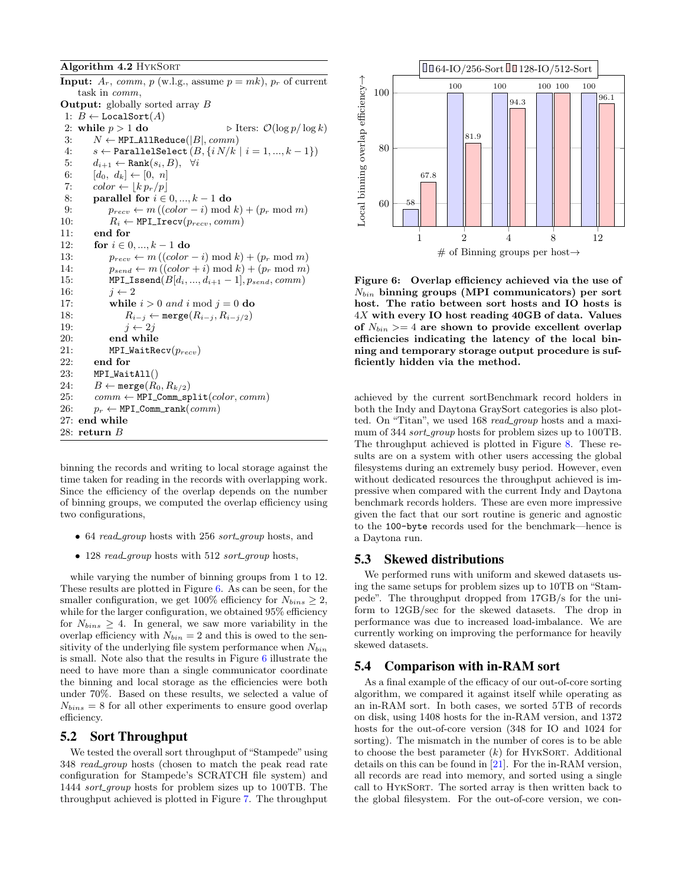#### <span id="page-7-0"></span>Algorithm 4.2 HykSort

|     | <b>Input:</b> $A_r$ , comm, p (w.l.g., assume $p = mk$ ), $p_r$ of current |
|-----|----------------------------------------------------------------------------|
|     | task in <i>comm</i> ,                                                      |
|     | <b>Output:</b> globally sorted array $B$                                   |
|     | 1: $B \leftarrow$ LocalSort(A)                                             |
| 2:  | $\triangleright$ Iters: $\mathcal{O}(\log p / \log k)$<br>while $p > 1$ do |
| 3:  | $N \leftarrow \texttt{MPI\_AllReduce}( B , comm)$                          |
| 4:  | $s \leftarrow$ ParallelSelect $(B, \{i \, N/k \mid i = 1, , k-1\})$        |
| 5:  | $d_{i+1} \leftarrow$ Rank $(s_i, B)$ , $\forall i$                         |
| 6:  | $[d_0, d_k] \leftarrow [0, n]$                                             |
| 7:  | $color \leftarrow \lfloor k p_r/p \rfloor$                                 |
| 8:  | parallel for $i \in 0, , k - 1$ do                                         |
| 9:  | $p_{recv} \leftarrow m ((color - i) \mod k) + (p_r \mod m)$                |
| 10: | $R_i \leftarrow \texttt{MPI\_Treev}(p_{recv}, comm)$                       |
| 11: | end for                                                                    |
| 12: | for $i \in 0, , k - 1$ do                                                  |
| 13: | $p_{recv} \leftarrow m ((color - i) \mod k) + (p_r \mod m)$                |
| 14: | $p_{send} \leftarrow m((color + i) \mod k) + (p_r \mod m)$                 |
| 15: | MPI_Issend $(B[d_i, , d_{i+1}-1], p_{send}, comm)$                         |
| 16: | $i \leftarrow 2$                                                           |
| 17: | while $i > 0$ and i mod $j = 0$ do                                         |
| 18: | $R_{i-j} \leftarrow \text{merge}(R_{i-j}, R_{i-j/2})$                      |
| 19: | $i \leftarrow 2i$                                                          |
| 20: | end while                                                                  |
| 21: | $MPI$ _WaitRecv $(p_{recv})$                                               |
| 22: | end for                                                                    |
| 23: | $MPI_WaitAll()$                                                            |
| 24: | $B \leftarrow \mathtt{merge}(R_0, R_{k/2})$                                |
| 25: | $comm \leftarrow \texttt{MPI\_Comm\_split}(color,comm)$                    |
| 26: | $p_r \leftarrow \texttt{MPI\_Comm\_rank}(comm)$                            |
| 27: | end while                                                                  |
|     | $28:$ return $B$                                                           |

binning the records and writing to local storage against the time taken for reading in the records with overlapping work. Since the efficiency of the overlap depends on the number of binning groups, we computed the overlap efficiency using two configurations,

- 64 *read\_group* hosts with 256 *sort\_group* hosts, and
- 128 read\_group hosts with 512 sort\_group hosts,

while varying the number of binning groups from 1 to 12. These results are plotted in Figure [6.](#page-7-1) As can be seen, for the smaller configuration, we get 100% efficiency for  $N_{bins} \geq 2$ , while for the larger configuration, we obtained 95% efficiency for  $N_{bins} \geq 4$ . In general, we saw more variability in the overlap efficiency with  $N_{bin} = 2$  and this is owed to the sensitivity of the underlying file system performance when  $N_{bin}$ is small. Note also that the results in Figure [6](#page-7-1) illustrate the need to have more than a single communicator coordinate the binning and local storage as the efficiencies were both under 70%. Based on these results, we selected a value of  $N_{bins} = 8$  for all other experiments to ensure good overlap efficiency.

#### 5.2 Sort Throughput

We tested the overall sort throughput of "Stampede" using 348 read group hosts (chosen to match the peak read rate configuration for Stampede's SCRATCH file system) and 1444 *sort\_group* hosts for problem sizes up to 100TB. The throughput achieved is plotted in Figure [7.](#page-8-7) The throughput



<span id="page-7-1"></span>Figure 6: Overlap efficiency achieved via the use of  $N_{bin}$  binning groups (MPI communicators) per sort host. The ratio between sort hosts and IO hosts is 4X with every IO host reading 40GB of data. Values of  $N_{bin} \geq 4$  are shown to provide excellent overlap efficiencies indicating the latency of the local binning and temporary storage output procedure is sufficiently hidden via the method.

achieved by the current sortBenchmark record holders in both the Indy and Daytona GraySort categories is also plotted. On "Titan", we used 168 *read group* hosts and a maximum of 344 sort\_group hosts for problem sizes up to 100TB. The throughput achieved is plotted in Figure [8.](#page-8-8) These results are on a system with other users accessing the global filesystems during an extremely busy period. However, even without dedicated resources the throughput achieved is impressive when compared with the current Indy and Daytona benchmark records holders. These are even more impressive given the fact that our sort routine is generic and agnostic to the 100-byte records used for the benchmark—hence is a Daytona run.

## 5.3 Skewed distributions

We performed runs with uniform and skewed datasets using the same setups for problem sizes up to 10TB on "Stampede". The throughput dropped from 17GB/s for the uniform to 12GB/sec for the skewed datasets. The drop in performance was due to increased load-imbalance. We are currently working on improving the performance for heavily skewed datasets.

#### 5.4 Comparison with in-RAM sort

As a final example of the efficacy of our out-of-core sorting algorithm, we compared it against itself while operating as an in-RAM sort. In both cases, we sorted 5TB of records on disk, using 1408 hosts for the in-RAM version, and 1372 hosts for the out-of-core version (348 for IO and 1024 for sorting). The mismatch in the number of cores is to be able to choose the best parameter  $(k)$  for HYKSORT. Additional details on this can be found in [\[21\]](#page-9-9). For the in-RAM version, all records are read into memory, and sorted using a single call to HykSort. The sorted array is then written back to the global filesystem. For the out-of-core version, we con-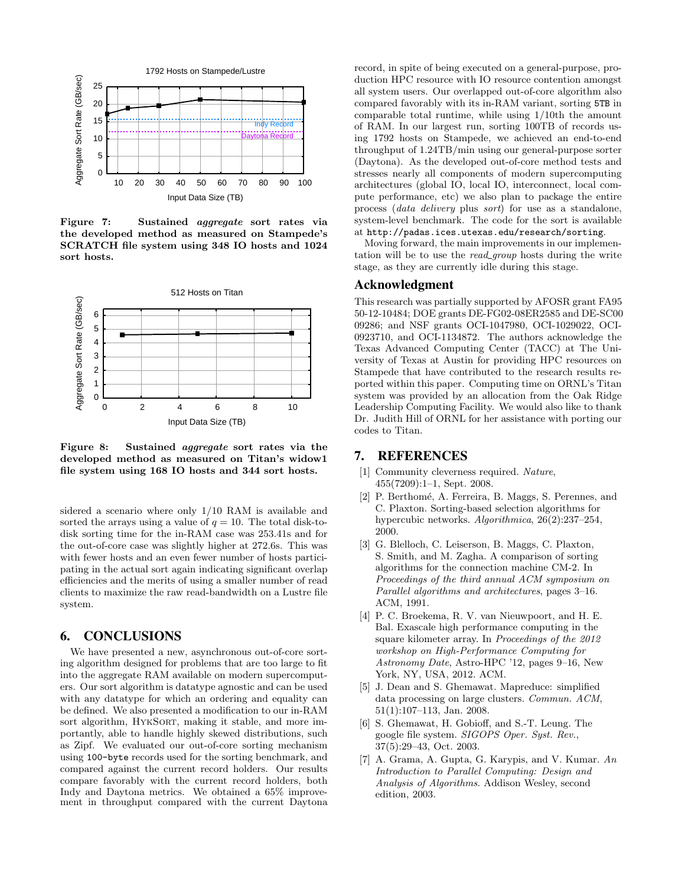

<span id="page-8-7"></span>Figure 7: Sustained aggregate sort rates via the developed method as measured on Stampede's SCRATCH file system using 348 IO hosts and 1024 sort hosts.



<span id="page-8-8"></span>Figure 8: Sustained aggregate sort rates via the developed method as measured on Titan's widow1 file system using 168 IO hosts and 344 sort hosts.

sidered a scenario where only 1/10 RAM is available and sorted the arrays using a value of  $q = 10$ . The total disk-todisk sorting time for the in-RAM case was 253.41s and for the out-of-core case was slightly higher at 272.6s. This was with fewer hosts and an even fewer number of hosts participating in the actual sort again indicating significant overlap efficiencies and the merits of using a smaller number of read clients to maximize the raw read-bandwidth on a Lustre file system.

# 6. CONCLUSIONS

We have presented a new, asynchronous out-of-core sorting algorithm designed for problems that are too large to fit into the aggregate RAM available on modern supercomputers. Our sort algorithm is datatype agnostic and can be used with any datatype for which an ordering and equality can be defined. We also presented a modification to our in-RAM sort algorithm, HYKSORT, making it stable, and more importantly, able to handle highly skewed distributions, such as Zipf. We evaluated our out-of-core sorting mechanism using 100-byte records used for the sorting benchmark, and compared against the current record holders. Our results compare favorably with the current record holders, both Indy and Daytona metrics. We obtained a 65% improvement in throughput compared with the current Daytona

Indy Record of RAM. In our largest run, sorting 100TB of records us-Paytona Record ing 1792 hosts on Stampede, we achieved an end-to-end record, in spite of being executed on a general-purpose, production HPC resource with IO resource contention amongst all system users. Our overlapped out-of-core algorithm also compared favorably with its in-RAM variant, sorting 5TB in comparable total runtime, while using 1/10th the amount throughput of 1.24TB/min using our general-purpose sorter (Daytona). As the developed out-of-core method tests and stresses nearly all components of modern supercomputing architectures (global IO, local IO, interconnect, local compute performance, etc) we also plan to package the entire process (data delivery plus sort) for use as a standalone, system-level benchmark. The code for the sort is available at http://padas.ices.utexas.edu/research/sorting.

> Moving forward, the main improvements in our implementation will be to use the read\_group hosts during the write stage, as they are currently idle during this stage.

#### Acknowledgment

This research was partially supported by AFOSR grant FA95 50-12-10484; DOE grants DE-FG02-08ER2585 and DE-SC00 09286; and NSF grants OCI-1047980, OCI-1029022, OCI-0923710, and OCI-1134872. The authors acknowledge the Texas Advanced Computing Center (TACC) at The University of Texas at Austin for providing HPC resources on Stampede that have contributed to the research results reported within this paper. Computing time on ORNL's Titan system was provided by an allocation from the Oak Ridge Leadership Computing Facility. We would also like to thank Dr. Judith Hill of ORNL for her assistance with porting our codes to Titan.

# 7. REFERENCES

- <span id="page-8-0"></span>Community cleverness required. Nature, 455(7209):1–1, Sept. 2008.
- <span id="page-8-5"></span>[2] P. Berthomé, A. Ferreira, B. Maggs, S. Perennes, and C. Plaxton. Sorting-based selection algorithms for hypercubic networks. Algorithmica, 26(2):237–254, 2000.
- <span id="page-8-4"></span>[3] G. Blelloch, C. Leiserson, B. Maggs, C. Plaxton, S. Smith, and M. Zagha. A comparison of sorting algorithms for the connection machine CM-2. In Proceedings of the third annual ACM symposium on Parallel algorithms and architectures, pages 3–16. ACM, 1991.
- <span id="page-8-1"></span>[4] P. C. Broekema, R. V. van Nieuwpoort, and H. E. Bal. Exascale high performance computing in the square kilometer array. In Proceedings of the 2012 workshop on High-Performance Computing for Astronomy Date, Astro-HPC '12, pages 9–16, New York, NY, USA, 2012. ACM.
- <span id="page-8-2"></span>[5] J. Dean and S. Ghemawat. Mapreduce: simplified data processing on large clusters. Commun. ACM, 51(1):107–113, Jan. 2008.
- <span id="page-8-3"></span>[6] S. Ghemawat, H. Gobioff, and S.-T. Leung. The google file system. SIGOPS Oper. Syst. Rev., 37(5):29–43, Oct. 2003.
- <span id="page-8-6"></span>[7] A. Grama, A. Gupta, G. Karypis, and V. Kumar. An Introduction to Parallel Computing: Design and Analysis of Algorithms. Addison Wesley, second edition, 2003.